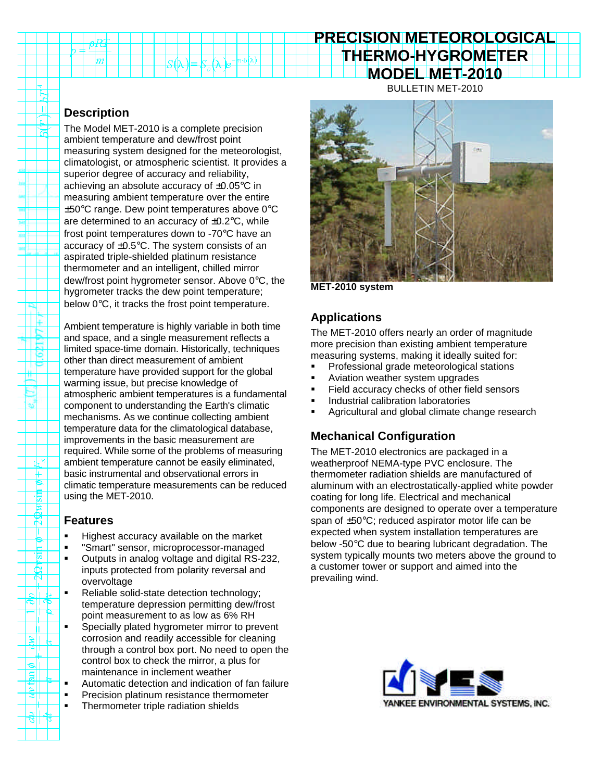# **PRECISION METEOROLOGICAL THERMO-HYGROMETER MODEL MET-2010**

BULLETIN MET-2010

## **Description**

 $_2$   $\pm$   $\frac{\mu \nu \mu}{2}$  $\overline{m}$ 

Ĕ  $\overline{\mathbf{u}}$ 

ল

HE

16. . P

> ᇿ ⊬ P. 惯

 $\boldsymbol{\kappa}$ Г  $\frac{1}{\sin \theta}$ ٦Ē.  $\overline{\mathbb{N}}$ 

The Model MET-2010 is a complete precision ambient temperature and dew/frost point measuring system designed for the meteorologist, climatologist, or atmospheric scientist. It provides a superior degree of accuracy and reliability, achieving an absolute accuracy of ±0.05°C in measuring ambient temperature over the entire  $\pm 50^{\circ}$ C range. Dew point temperatures above 0 $^{\circ}$ C are determined to an accuracy of  $\pm 0.2$ °C, while frost point temperatures down to -70°C have an accuracy of ±0.5°C. The system consists of an aspirated triple-shielded platinum resistance thermometer and an intelligent, chilled mirror dew/frost point hygrometer sensor. Above 0°C, the hygrometer tracks the dew point temperature; below 0°C, it tracks the frost point temperature.

 $n·\delta$ (a)

Ambient temperature is highly variable in both time and space, and a single measurement reflects a limited space-time domain. Historically, techniques other than direct measurement of ambient temperature have provided support for the global warming issue, but precise knowledge of atmospheric ambient temperatures is a fundamental component to understanding the Earth's climatic mechanisms. As we continue collecting ambient temperature data for the climatological database, improvements in the basic measurement are required. While some of the problems of measuring ambient temperature cannot be easily eliminated, basic instrumental and observational errors in climatic temperature measurements can be reduced using the MET-2010.

#### **Features**

- **Highest accuracy available on the market**
- **•** "Smart" sensor, microprocessor-managed
- **•** Outputs in analog voltage and digital RS-232, inputs protected from polarity reversal and overvoltage
- Reliable solid-state detection technology; temperature depression permitting dew/frost point measurement to as low as 6% RH
- **Specially plated hygrometer mirror to prevent** corrosion and readily accessible for cleaning through a control box port. No need to open the control box to check the mirror, a plus for maintenance in inclement weather
- **Automatic detection and indication of fan failure**
- **•** Precision platinum resistance thermometer
- **FI** Thermometer triple radiation shields



**MET-2010 system**

## **Applications**

The MET-2010 offers nearly an order of magnitude more precision than existing ambient temperature measuring systems, making it ideally suited for:

- **•** Professional grade meteorological stations
- ß Aviation weather system upgrades
- ß Field accuracy checks of other field sensors
- ß Industrial calibration laboratories
- ß Agricultural and global climate change research

## **Mechanical Configuration**

The MET-2010 electronics are packaged in a weatherproof NEMA-type PVC enclosure. The thermometer radiation shields are manufactured of aluminum with an electrostatically-applied white powder coating for long life. Electrical and mechanical components are designed to operate over a temperature span of ±50°C; reduced aspirator motor life can be expected when system installation temperatures are below -50°C due to bearing lubricant degradation. The system typically mounts two meters above the ground to a customer tower or support and aimed into the prevailing wind.

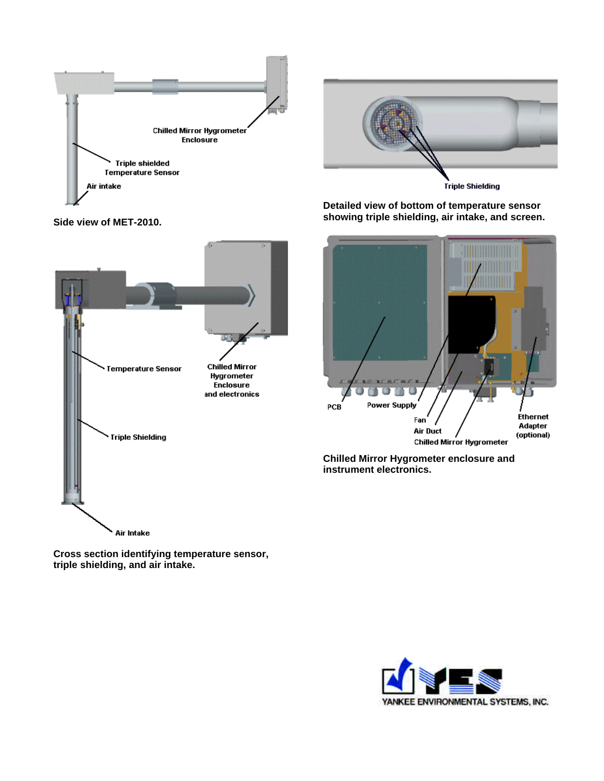



**Detailed view of bottom of temperature sensor showing triple shielding, air intake, and screen.**



**Chilled Mirror Hygrometer enclosure and instrument electronics.**

**Side view of MET-2010.**



**Cross section identifying temperature sensor, triple shielding, and air intake.**

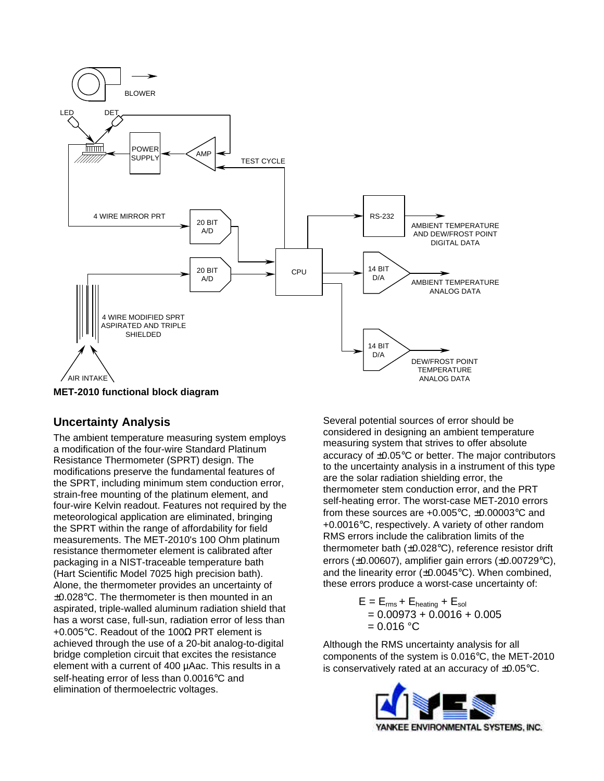

**MET-2010 functional block diagram**

#### **Uncertainty Analysis**

The ambient temperature measuring system employs a modification of the four-wire Standard Platinum Resistance Thermometer (SPRT) design. The modifications preserve the fundamental features of the SPRT, including minimum stem conduction error, strain-free mounting of the platinum element, and four-wire Kelvin readout. Features not required by the meteorological application are eliminated, bringing the SPRT within the range of affordability for field measurements. The MET-2010's 100 Ohm platinum resistance thermometer element is calibrated after packaging in a NIST-traceable temperature bath (Hart Scientific Model 7025 high precision bath). Alone, the thermometer provides an uncertainty of ±0.028°C. The thermometer is then mounted in an aspirated, triple-walled aluminum radiation shield that has a worst case, full-sun, radiation error of less than +0.005°C. Readout of the 100Ω PRT element is achieved through the use of a 20-bit analog-to-digital bridge completion circuit that excites the resistance element with a current of 400 µAac. This results in a self-heating error of less than 0.0016°C and elimination of thermoelectric voltages.

Several potential sources of error should be considered in designing an ambient temperature measuring system that strives to offer absolute accuracy of ±0.05°C or better. The major contributors to the uncertainty analysis in a instrument of this type are the solar radiation shielding error, the thermometer stem conduction error, and the PRT self-heating error. The worst-case MET-2010 errors from these sources are  $+0.005\degree C$ ,  $\pm 0.00003\degree C$  and +0.0016°C, respectively. A variety of other random RMS errors include the calibration limits of the thermometer bath (±0.028°C), reference resistor drift errors (±0.00607), amplifier gain errors (±0.00729°C), and the linearity error  $(\pm 0.0045^{\circ}C)$ . When combined, these errors produce a worst-case uncertainty of:

> $E = E_{rms} + E_{heating} + E_{sol}$  $= 0.00973 + 0.0016 + 0.005$  $= 0.016 °C$

Although the RMS uncertainty analysis for all components of the system is 0.016°C, the MET-2010 is conservatively rated at an accuracy of ±0.05°C.

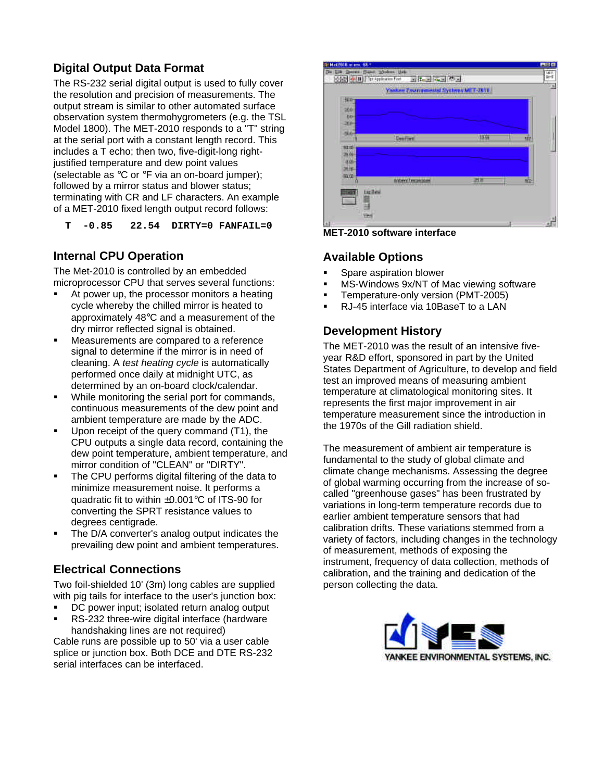## **Digital Output Data Format**

The RS-232 serial digital output is used to fully cover the resolution and precision of measurements. The output stream is similar to other automated surface observation system thermohygrometers (e.g. the TSL Model 1800). The MET-2010 responds to a "T" string at the serial port with a constant length record. This includes a T echo; then two, five-digit-long rightjustified temperature and dew point values (selectable as °C or °F via an on-board jumper); followed by a mirror status and blower status; terminating with CR and LF characters. An example of a MET-2010 fixed length output record follows:

 **T -0.85 22.54 DIRTY=0 FANFAIL=0**

## **Internal CPU Operation**

The Met-2010 is controlled by an embedded microprocessor CPU that serves several functions:

- ß At power up, the processor monitors a heating cycle whereby the chilled mirror is heated to approximately 48°C and a measurement of the dry mirror reflected signal is obtained.
- **EXEC** Measurements are compared to a reference signal to determine if the mirror is in need of cleaning. A *test heating cycle* is automatically performed once daily at midnight UTC, as determined by an on-board clock/calendar.
- While monitoring the serial port for commands, continuous measurements of the dew point and ambient temperature are made by the ADC.
- ß Upon receipt of the query command (T1), the CPU outputs a single data record, containing the dew point temperature, ambient temperature, and mirror condition of "CLEAN" or "DIRTY".
- The CPU performs digital filtering of the data to minimize measurement noise. It performs a quadratic fit to within ±0.001°C of ITS-90 for converting the SPRT resistance values to degrees centigrade.
- The D/A converter's analog output indicates the prevailing dew point and ambient temperatures.

#### **Electrical Connections**

Two foil-shielded 10' (3m) long cables are supplied with pig tails for interface to the user's junction box:

- DC power input; isolated return analog output
- ß RS-232 three-wire digital interface (hardware handshaking lines are not required)

Cable runs are possible up to 50' via a user cable splice or junction box. Both DCE and DTE RS-232 serial interfaces can be interfaced.



**MET-2010 software interface**

#### **Available Options**

- ß Spare aspiration blower
- ß MS-Windows 9x/NT of Mac viewing software
- ß Temperature-only version (PMT-2005)
- ß RJ-45 interface via 10BaseT to a LAN

#### **Development History**

The MET-2010 was the result of an intensive fiveyear R&D effort, sponsored in part by the United States Department of Agriculture, to develop and field test an improved means of measuring ambient temperature at climatological monitoring sites. It represents the first major improvement in air temperature measurement since the introduction in the 1970s of the Gill radiation shield.

The measurement of ambient air temperature is fundamental to the study of global climate and climate change mechanisms. Assessing the degree of global warming occurring from the increase of socalled "greenhouse gases" has been frustrated by variations in long-term temperature records due to earlier ambient temperature sensors that had calibration drifts. These variations stemmed from a variety of factors, including changes in the technology of measurement, methods of exposing the instrument, frequency of data collection, methods of calibration, and the training and dedication of the person collecting the data.